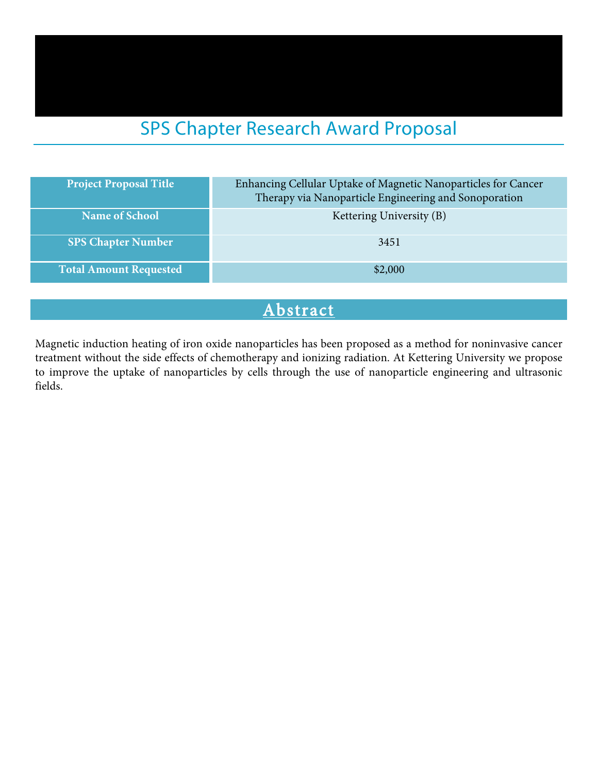# SPS Chapter Research Award Proposal

| <b>Project Proposal Title</b> | Enhancing Cellular Uptake of Magnetic Nanoparticles for Cancer<br>Therapy via Nanoparticle Engineering and Sonoporation |
|-------------------------------|-------------------------------------------------------------------------------------------------------------------------|
| <b>Name of School</b>         | Kettering University (B)                                                                                                |
| <b>SPS Chapter Number</b>     | 3451                                                                                                                    |
| <b>Total Amount Requested</b> | \$2,000                                                                                                                 |

# Abstract

Magnetic induction heating of iron oxide nanoparticles has been proposed as a method for noninvasive cancer treatment without the side effects of chemotherapy and ionizing radiation. At Kettering University we propose to improve the uptake of nanoparticles by cells through the use of nanoparticle engineering and ultrasonic fields.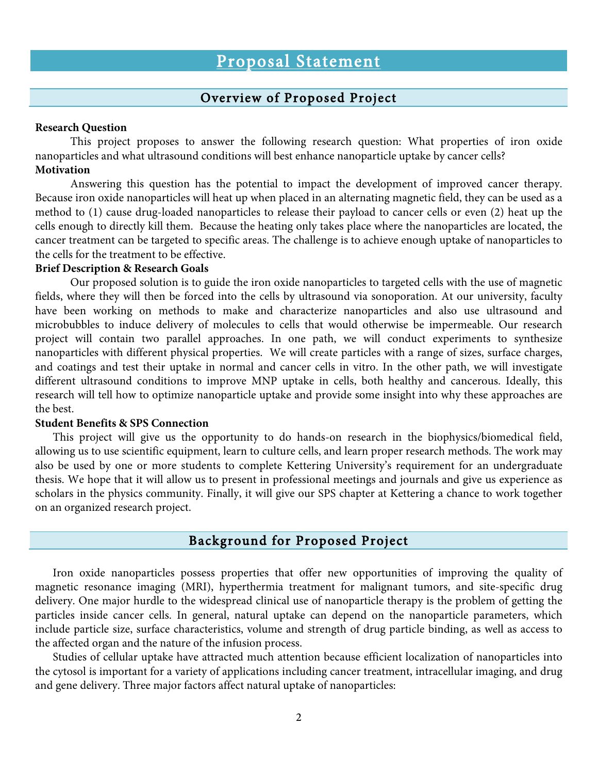## Overview of Proposed Project

#### **Research Question**

This project proposes to answer the following research question: What properties of iron oxide nanoparticles and what ultrasound conditions will best enhance nanoparticle uptake by cancer cells? **Motivation**

Answering this question has the potential to impact the development of improved cancer therapy. Because iron oxide nanoparticles will heat up when placed in an alternating magnetic field, they can be used as a method to (1) cause drug-loaded nanoparticles to release their payload to cancer cells or even (2) heat up the cells enough to directly kill them. Because the heating only takes place where the nanoparticles are located, the cancer treatment can be targeted to specific areas. The challenge is to achieve enough uptake of nanoparticles to the cells for the treatment to be effective.

#### **Brief Description & Research Goals**

Our proposed solution is to guide the iron oxide nanoparticles to targeted cells with the use of magnetic fields, where they will then be forced into the cells by ultrasound via sonoporation. At our university, faculty have been working on methods to make and characterize nanoparticles and also use ultrasound and microbubbles to induce delivery of molecules to cells that would otherwise be impermeable. Our research project will contain two parallel approaches. In one path, we will conduct experiments to synthesize nanoparticles with different physical properties. We will create particles with a range of sizes, surface charges, and coatings and test their uptake in normal and cancer cells in vitro. In the other path, we will investigate different ultrasound conditions to improve MNP uptake in cells, both healthy and cancerous. Ideally, this research will tell how to optimize nanoparticle uptake and provide some insight into why these approaches are the best.

#### **Student Benefits & SPS Connection**

This project will give us the opportunity to do hands-on research in the biophysics/biomedical field, allowing us to use scientific equipment, learn to culture cells, and learn proper research methods. The work may also be used by one or more students to complete Kettering University's requirement for an undergraduate thesis. We hope that it will allow us to present in professional meetings and journals and give us experience as scholars in the physics community. Finally, it will give our SPS chapter at Kettering a chance to work together on an organized research project.

## Background for Proposed Project

Iron oxide nanoparticles possess properties that offer new opportunities of improving the quality of magnetic resonance imaging (MRI), hyperthermia treatment for malignant tumors, and site-specific drug delivery. One major hurdle to the widespread clinical use of nanoparticle therapy is the problem of getting the particles inside cancer cells. In general, natural uptake can depend on the nanoparticle parameters, which include particle size, surface characteristics, volume and strength of drug particle binding, as well as access to the affected organ and the nature of the infusion process.

Studies of cellular uptake have attracted much attention because efficient localization of nanoparticles into the cytosol is important for a variety of applications including cancer treatment, intracellular imaging, and drug and gene delivery. Three major factors affect natural uptake of nanoparticles: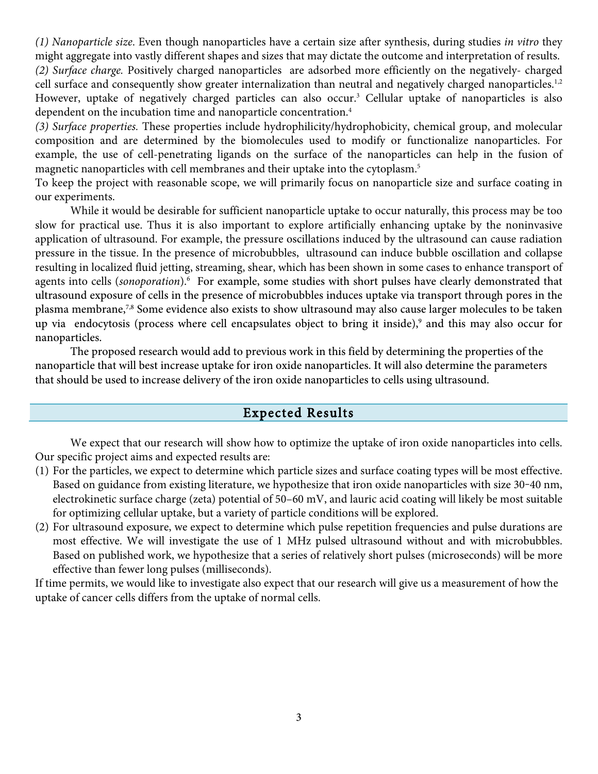*(1) Nanoparticle size*. Even though nanoparticles have a certain size after synthesis, during studies *in vitro* they might aggregate into vastly different shapes and sizes that may dictate the outcome and interpretation of results. *(2) Surface charge.* Positively charged nanoparticles are adsorbed more efficiently on the negatively- charged cell surface and consequently show greater internalization than neutral and negatively charged nanoparticles.<sup>1,2</sup> However, uptake of negatively charged particles can also occur.<sup>3</sup> Cellular uptake of nanoparticles is also dependent on the incubation time and nanoparticle concentration.<sup>4</sup>

*(3) Surface properties.* These properties include hydrophilicity/hydrophobicity, chemical group, and molecular composition and are determined by the biomolecules used to modify or functionalize nanoparticles. For example, the use of cell-penetrating ligands on the surface of the nanoparticles can help in the fusion of magnetic nanoparticles with cell membranes and their uptake into the cytoplasm.5

To keep the project with reasonable scope, we will primarily focus on nanoparticle size and surface coating in our experiments.

While it would be desirable for sufficient nanoparticle uptake to occur naturally, this process may be too slow for practical use. Thus it is also important to explore artificially enhancing uptake by the noninvasive application of ultrasound. For example, the pressure oscillations induced by the ultrasound can cause radiation pressure in the tissue. In the presence of microbubbles, ultrasound can induce bubble oscillation and collapse resulting in localized fluid jetting, streaming, shear, which has been shown in some cases to enhance transport of agents into cells (sonoporation).<sup>6</sup> For example, some studies with short pulses have clearly demonstrated that ultrasound exposure of cells in the presence of microbubbles induces uptake via transport through pores in the plasma membrane,7,8 Some evidence also exists to show ultrasound may also cause larger molecules to be taken up via endocytosis (process where cell encapsulates object to bring it inside),<sup>9</sup> and this may also occur for nanoparticles.

The proposed research would add to previous work in this field by determining the properties of the nanoparticle that will best increase uptake for iron oxide nanoparticles. It will also determine the parameters that should be used to increase delivery of the iron oxide nanoparticles to cells using ultrasound.

## Expected Results

We expect that our research will show how to optimize the uptake of iron oxide nanoparticles into cells. Our specific project aims and expected results are:

- (1) For the particles, we expect to determine which particle sizes and surface coating types will be most effective. Based on guidance from existing literature, we hypothesize that iron oxide nanoparticles with size 30-40 nm, electrokinetic surface charge (zeta) potential of 50–60 mV, and lauric acid coating will likely be most suitable for optimizing cellular uptake, but a variety of particle conditions will be explored.
- (2) For ultrasound exposure, we expect to determine which pulse repetition frequencies and pulse durations are most effective. We will investigate the use of 1 MHz pulsed ultrasound without and with microbubbles. Based on published work, we hypothesize that a series of relatively short pulses (microseconds) will be more effective than fewer long pulses (milliseconds).

If time permits, we would like to investigate also expect that our research will give us a measurement of how the uptake of cancer cells differs from the uptake of normal cells.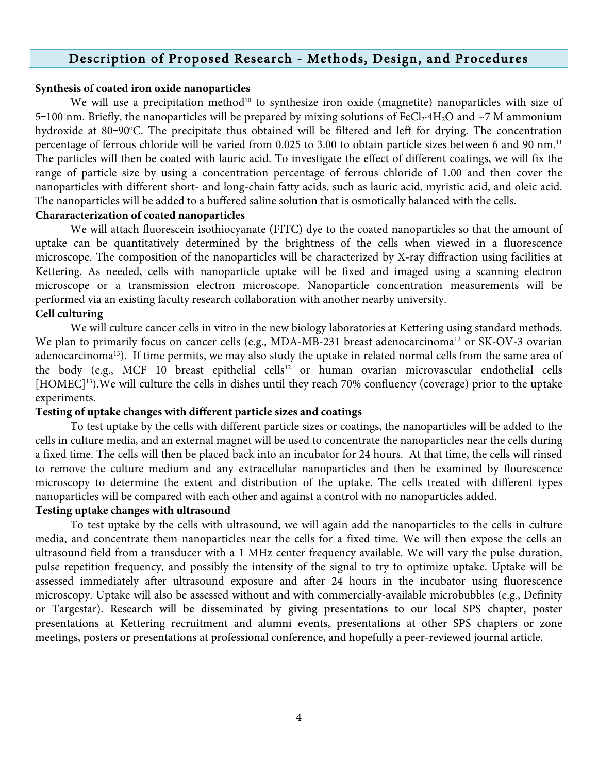## Description of Proposed Research - Methods, Design, and Procedures

#### **Synthesis of coated iron oxide nanoparticles**

We will use a precipitation method<sup>10</sup> to synthesize iron oxide (magnetite) nanoparticles with size of 5–100 nm. Briefly, the nanoparticles will be prepared by mixing solutions of FeCl<sub>2</sub>⋅4H<sub>2</sub>O and ~7 M ammonium hydroxide at 80–90°C. The precipitate thus obtained will be filtered and left for drying. The concentration percentage of ferrous chloride will be varied from 0.025 to 3.00 to obtain particle sizes between 6 and 90 nm.<sup>11</sup> The particles will then be coated with lauric acid. To investigate the effect of different coatings, we will fix the range of particle size by using a concentration percentage of ferrous chloride of 1.00 and then cover the nanoparticles with different short- and long-chain fatty acids, such as lauric acid, myristic acid, and oleic acid. The nanoparticles will be added to a buffered saline solution that is osmotically balanced with the cells.

## **Chararacterization of coated nanoparticles**

We will attach fluorescein isothiocyanate (FITC) dye to the coated nanoparticles so that the amount of uptake can be quantitatively determined by the brightness of the cells when viewed in a fluorescence microscope. The composition of the nanoparticles will be characterized by X-ray diffraction using facilities at Kettering. As needed, cells with nanoparticle uptake will be fixed and imaged using a scanning electron microscope or a transmission electron microscope. Nanoparticle concentration measurements will be performed via an existing faculty research collaboration with another nearby university.

#### **Cell culturing**

We will culture cancer cells in vitro in the new biology laboratories at Kettering using standard methods. We plan to primarily focus on cancer cells (e.g., MDA-MB-231 breast adenocarcinoma<sup>12</sup> or SK-OV-3 ovarian adenocarcinoma<sup>13</sup>). If time permits, we may also study the uptake in related normal cells from the same area of the body (e.g., MCF 10 breast epithelial cells<sup>12</sup> or human ovarian microvascular endothelial cells [HOMEC]<sup>13</sup>). We will culture the cells in dishes until they reach 70% confluency (coverage) prior to the uptake experiments.

#### **Testing of uptake changes with different particle sizes and coatings**

To test uptake by the cells with different particle sizes or coatings, the nanoparticles will be added to the cells in culture media, and an external magnet will be used to concentrate the nanoparticles near the cells during a fixed time. The cells will then be placed back into an incubator for 24 hours. At that time, the cells will rinsed to remove the culture medium and any extracellular nanoparticles and then be examined by flourescence microscopy to determine the extent and distribution of the uptake. The cells treated with different types nanoparticles will be compared with each other and against a control with no nanoparticles added.

#### **Testing uptake changes with ultrasound**

To test uptake by the cells with ultrasound, we will again add the nanoparticles to the cells in culture media, and concentrate them nanoparticles near the cells for a fixed time. We will then expose the cells an ultrasound field from a transducer with a 1 MHz center frequency available. We will vary the pulse duration, pulse repetition frequency, and possibly the intensity of the signal to try to optimize uptake. Uptake will be assessed immediately after ultrasound exposure and after 24 hours in the incubator using fluorescence microscopy. Uptake will also be assessed without and with commercially-available microbubbles (e.g., Definity or Targestar). Research will be disseminated by giving presentations to our local SPS chapter, poster presentations at Kettering recruitment and alumni events, presentations at other SPS chapters or zone meetings, posters or presentations at professional conference, and hopefully a peer-reviewed journal article.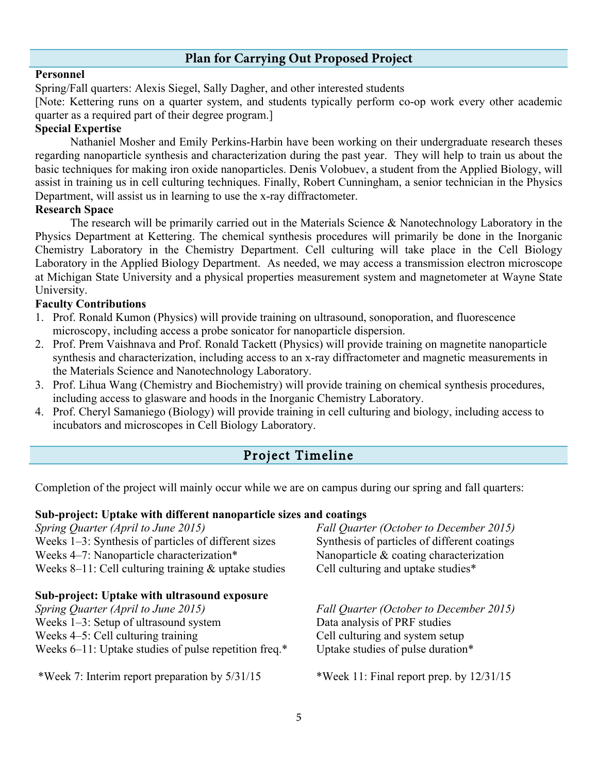## **Plan for Carrying Out Proposed Project**

#### **Personnel**

Spring/Fall quarters: Alexis Siegel, Sally Dagher, and other interested students

[Note: Kettering runs on a quarter system, and students typically perform co-op work every other academic quarter as a required part of their degree program.]

## **Special Expertise**

Nathaniel Mosher and Emily Perkins-Harbin have been working on their undergraduate research theses regarding nanoparticle synthesis and characterization during the past year. They will help to train us about the basic techniques for making iron oxide nanoparticles. Denis Volobuev, a student from the Applied Biology, will assist in training us in cell culturing techniques. Finally, Robert Cunningham, a senior technician in the Physics Department, will assist us in learning to use the x-ray diffractometer.

## **Research Space**

The research will be primarily carried out in the Materials Science & Nanotechnology Laboratory in the Physics Department at Kettering. The chemical synthesis procedures will primarily be done in the Inorganic Chemistry Laboratory in the Chemistry Department. Cell culturing will take place in the Cell Biology Laboratory in the Applied Biology Department. As needed, we may access a transmission electron microscope at Michigan State University and a physical properties measurement system and magnetometer at Wayne State University.

## **Faculty Contributions**

- 1. Prof. Ronald Kumon (Physics) will provide training on ultrasound, sonoporation, and fluorescence microscopy, including access a probe sonicator for nanoparticle dispersion.
- 2. Prof. Prem Vaishnava and Prof. Ronald Tackett (Physics) will provide training on magnetite nanoparticle synthesis and characterization, including access to an x-ray diffractometer and magnetic measurements in the Materials Science and Nanotechnology Laboratory.
- 3. Prof. Lihua Wang (Chemistry and Biochemistry) will provide training on chemical synthesis procedures, including access to glasware and hoods in the Inorganic Chemistry Laboratory.
- 4. Prof. Cheryl Samaniego (Biology) will provide training in cell culturing and biology, including access to incubators and microscopes in Cell Biology Laboratory.

## Project Timeline

Completion of the project will mainly occur while we are on campus during our spring and fall quarters:

## **Sub-project: Uptake with different nanoparticle sizes and coatings**

| Spring Quarter (April to June 2015)                     |
|---------------------------------------------------------|
| Weeks $1-3$ : Synthesis of particles of different sizes |
| Weeks 4–7: Nanoparticle characterization*               |
| Weeks $8-11$ : Cell culturing training & uptake studies |

#### **Sub-project: Uptake with ultrasound exposure**

*Spring Quarter (April to June 2015) Fall Quarter (October to December 2015)* Weeks 1–3: Setup of ultrasound system Data analysis of PRF studies Weeks 4–5: Cell culturing training Veeks 4–5: Cell culturing and system setup Weeks 6–11: Uptake studies of pulse repetition freq.\* Uptake studies of pulse duration\*

\*Week 7: Interim report preparation by 5/31/15 \*Week 11: Final report prep. by 12/31/15

*Fall Quarter (October to December 2015)* Synthesis of particles of different coatings Nanoparticle  $\&$  coating characterization Cell culturing and uptake studies\*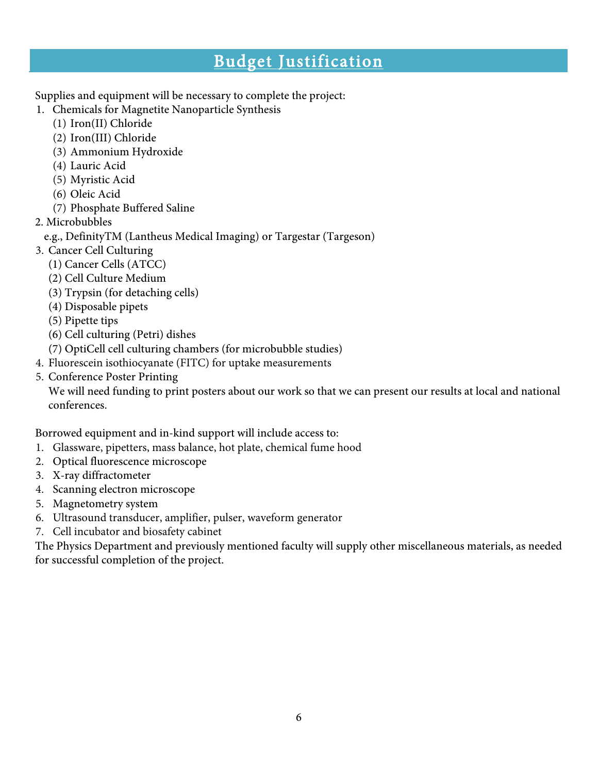## Budget Justification

Supplies and equipment will be necessary to complete the project:

- 1. Chemicals for Magnetite Nanoparticle Synthesis
	- (1) Iron(II) Chloride
		- (2) Iron(III) Chloride
		- (3) Ammonium Hydroxide
		- (4) Lauric Acid
		- (5) Myristic Acid
		- (6) Oleic Acid
	- (7) Phosphate Buffered Saline
- 2. Microbubbles
	- e.g., DefinityTM (Lantheus Medical Imaging) or Targestar (Targeson)
- 3. Cancer Cell Culturing
	- (1) Cancer Cells (ATCC)
	- (2) Cell Culture Medium
	- (3) Trypsin (for detaching cells)
	- (4) Disposable pipets
	- (5) Pipette tips
	- (6) Cell culturing (Petri) dishes
	- (7) OptiCell cell culturing chambers (for microbubble studies)
- 4. Fluorescein isothiocyanate (FITC) for uptake measurements
- 5. Conference Poster Printing

We will need funding to print posters about our work so that we can present our results at local and national conferences.

Borrowed equipment and in-kind support will include access to:

- 1. Glassware, pipetters, mass balance, hot plate, chemical fume hood
- 2. Optical fluorescence microscope
- 3. X-ray diffractometer
- 4. Scanning electron microscope
- 5. Magnetometry system
- 6. Ultrasound transducer, amplifier, pulser, waveform generator
- 7. Cell incubator and biosafety cabinet

The Physics Department and previously mentioned faculty will supply other miscellaneous materials, as needed for successful completion of the project.